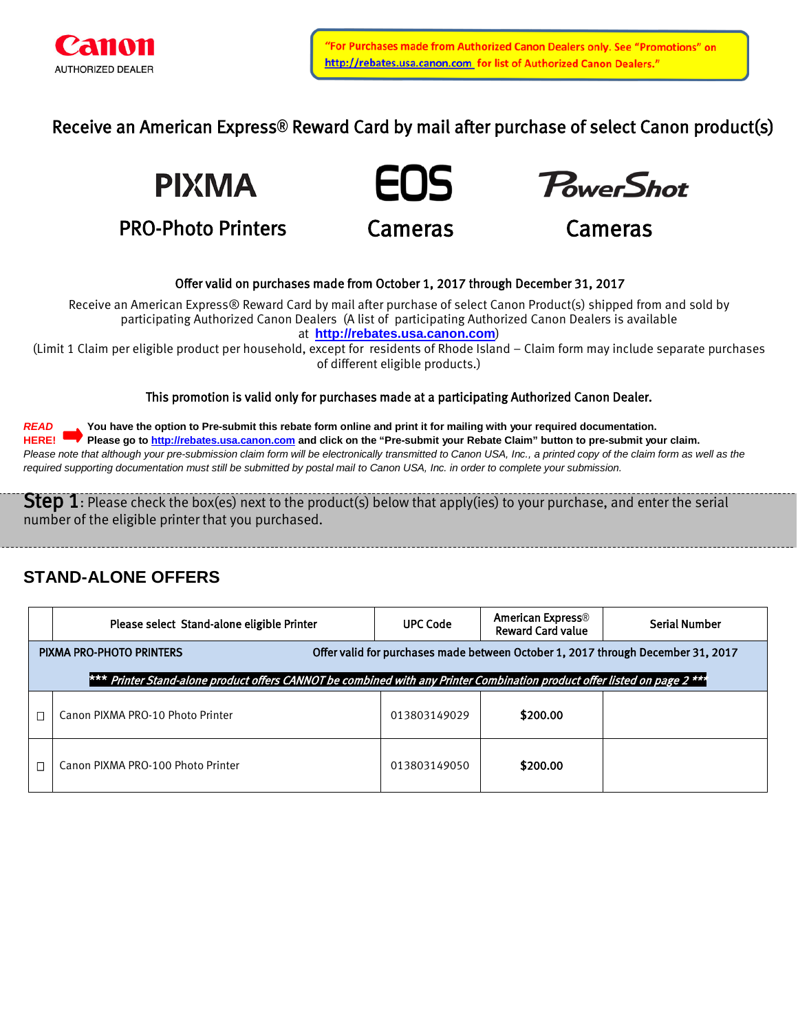

Receive an American Express**®** Reward Card by mail after purchase of select Canon product(s)



PRO-Photo Printers





Cameras

## Offer valid on purchases made from October 1, 2017 through December 31, 2017

Receive an American Express® Reward Card by mail after purchase of select Canon Product(s) shipped from and sold by participating Authorized Canon Dealers (A list of participating Authorized Canon Dealers is available at **[http://rebates.usa.canon.com](http://rebates.usa.canon.com/)**)

(Limit 1 Claim per eligible product per household, except for residents of Rhode Island – Claim form may include separate purchases of different eligible products.)

### This promotion is valid only for purchases made at a participating Authorized Canon Dealer.

*READ* **You have the option to Pre-submit this rebate form online and print it for mailing with your required documentation. HERE! Please go to [http://rebates.usa.canon.com](http://rebates.usa.canon.com/) and click on the "Pre-submit your Rebate Claim" button to pre-submit your claim.** Please note that although your pre-submission claim form will be electronically transmitted to Canon USA, Inc., a printed copy of the claim form as well as the *required supporting documentation must still be submitted by postal mail to Canon USA, Inc. in order to complete your submission.*

**Step 1**: Please check the box(es) next to the product(s) below that apply(ies) to your purchase, and enter the serial number of the eligible printer that you purchased.

# **STAND-ALONE OFFERS**

|                                                                                                                           | Please select Stand-alone eligible Printer | <b>UPC Code</b> | American Express <sup>®</sup><br><b>Reward Card value</b> | <b>Serial Number</b> |  |  |  |
|---------------------------------------------------------------------------------------------------------------------------|--------------------------------------------|-----------------|-----------------------------------------------------------|----------------------|--|--|--|
| Offer valid for purchases made between October 1, 2017 through December 31, 2017<br>PIXMA PRO-PHOTO PRINTERS              |                                            |                 |                                                           |                      |  |  |  |
| *** Printer Stand-alone product offers CANNOT be combined with any Printer Combination product offer listed on page 2 *** |                                            |                 |                                                           |                      |  |  |  |
|                                                                                                                           | Canon PIXMA PRO-10 Photo Printer           | 013803149029    | \$200.00                                                  |                      |  |  |  |
|                                                                                                                           | Canon PIXMA PRO-100 Photo Printer          | 013803149050    | \$200.00                                                  |                      |  |  |  |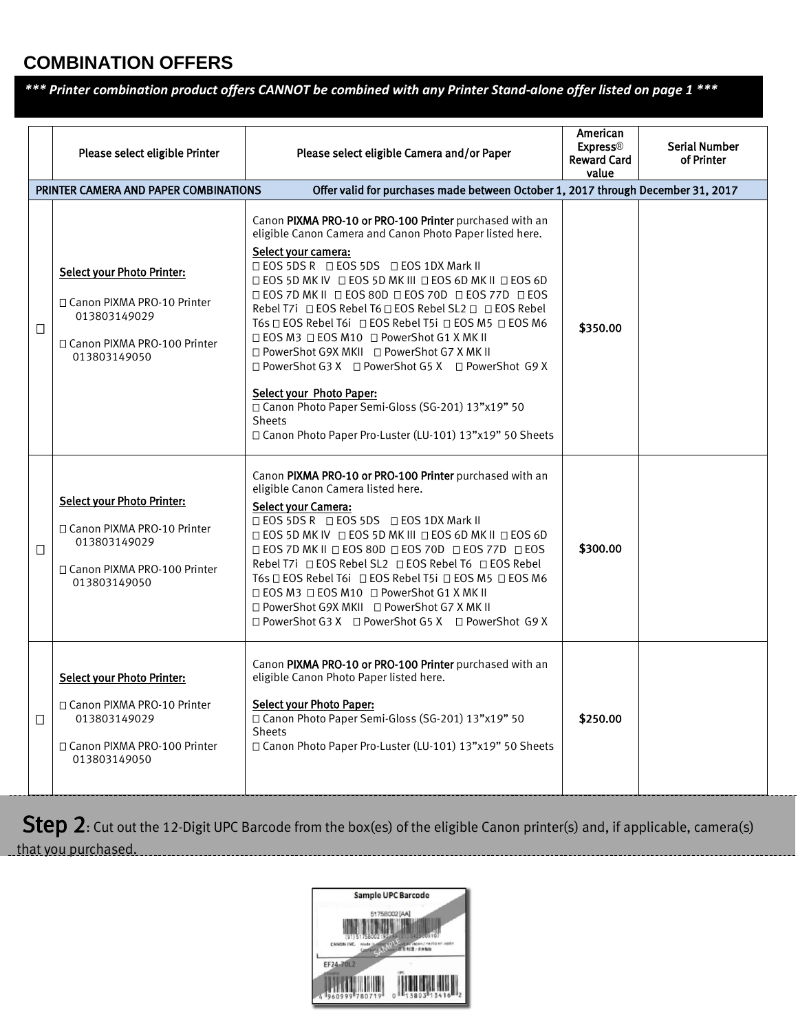# **COMBINATION OFFERS**

# *\*\*\* Printer combination product offers CANNOT be combined with any Printer Stand-alone offer listed on page 1 \*\*\**

|   | Please select eligible Printer<br>PRINTER CAMERA AND PAPER COMBINATIONS                                                            | Please select eligible Camera and/or Paper<br>Offer valid for purchases made between October 1, 2017 through December 31, 2017                                                                                                                                                                                                                                                                                                                                                                                                                                                                                                                                                                                                                      | American<br><b>Express®</b><br><b>Reward Card</b><br>value | Serial Number<br>of Printer |
|---|------------------------------------------------------------------------------------------------------------------------------------|-----------------------------------------------------------------------------------------------------------------------------------------------------------------------------------------------------------------------------------------------------------------------------------------------------------------------------------------------------------------------------------------------------------------------------------------------------------------------------------------------------------------------------------------------------------------------------------------------------------------------------------------------------------------------------------------------------------------------------------------------------|------------------------------------------------------------|-----------------------------|
| □ | <b>Select your Photo Printer:</b><br>□ Canon PIXMA PRO-10 Printer<br>013803149029<br>□ Canon PIXMA PRO-100 Printer<br>013803149050 | Canon PIXMA PRO-10 or PRO-100 Printer purchased with an<br>eligible Canon Camera and Canon Photo Paper listed here.<br>Select your camera:<br><b>□ EOS 5DS R □ EOS 5DS □ EOS 1DX Mark II</b><br>□ EOS 5D MK IV □ EOS 5D MK III □ EOS 6D MK II □ EOS 6D<br><b>DEOS 7D MK II DEOS 80D DEOS 70D DEOS 77D DEOS</b><br>Rebel T7i □ EOS Rebel T6 □ EOS Rebel SL2 □ □ EOS Rebel<br>T6s □ EOS Rebel T6i □ EOS Rebel T5i □ EOS M5 □ EOS M6<br>□ EOS M3 □ EOS M10 □ PowerShot G1 X MK II<br>□ PowerShot G9X MKII □ PowerShot G7 X MK II<br>□ PowerShot G3 X □ PowerShot G5 X □ PowerShot G9 X<br>Select your Photo Paper:<br>□ Canon Photo Paper Semi-Gloss (SG-201) 13"x19" 50<br><b>Sheets</b><br>□ Canon Photo Paper Pro-Luster (LU-101) 13"x19" 50 Sheets | \$350.00                                                   |                             |
| □ | <b>Select your Photo Printer:</b><br>□ Canon PIXMA PRO-10 Printer<br>013803149029<br>□ Canon PIXMA PRO-100 Printer<br>013803149050 | Canon PIXMA PRO-10 or PRO-100 Printer purchased with an<br>eligible Canon Camera listed here.<br><b>Select your Camera:</b><br>□ EOS 5DS R □ EOS 5DS □ EOS 1DX Mark II<br>□ EOS 5D MK IV □ EOS 5D MK III □ EOS 6D MK II □ EOS 6D<br>□ EOS 7D MK II □ EOS 80D □ EOS 70D □ EOS 77D □ EOS<br>Rebel T7i □ EOS Rebel SL2 □ EOS Rebel T6 □ EOS Rebel<br>T6s □ EOS Rebel T6i □ EOS Rebel T5i □ EOS M5 □ EOS M6<br>□ EOS M3 □ EOS M10 □ PowerShot G1 X MK II<br>□ PowerShot G9X MKII □ PowerShot G7 X MK II<br>□ PowerShot G3 X □ PowerShot G5 X □ PowerShot G9 X                                                                                                                                                                                           | \$300.00                                                   |                             |
| □ | <b>Select your Photo Printer:</b><br>□ Canon PIXMA PRO-10 Printer<br>013803149029<br>□ Canon PIXMA PRO-100 Printer<br>013803149050 | Canon PIXMA PRO-10 or PRO-100 Printer purchased with an<br>eligible Canon Photo Paper listed here.<br><b>Select your Photo Paper:</b><br>□ Canon Photo Paper Semi-Gloss (SG-201) 13"x19" 50<br><b>Sheets</b><br>□ Canon Photo Paper Pro-Luster (LU-101) 13"x19" 50 Sheets                                                                                                                                                                                                                                                                                                                                                                                                                                                                           | \$250.00                                                   |                             |

Step 2: Cut out the 12-Digit UPC Barcode from the box(es) of the eligible Canon printer(s) and, if applicable, camera(s) that you purchased.